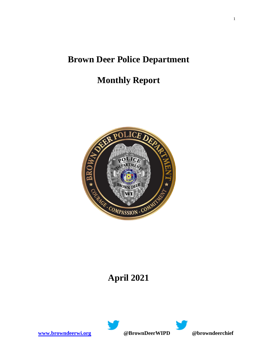# **Brown Deer Police Department**

# **Monthly Report**



# **April 2021**



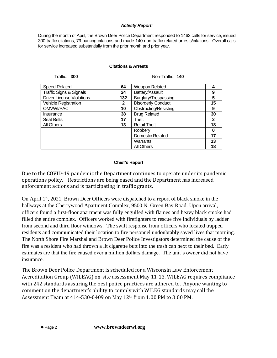#### *Activity Report:*

During the month of April, the Brown Deer Police Department responded to 1463 calls for service, issued 300 traffic citations, 79 parking citations and made 140 non-traffic related arrests/citations. Overall calls for service increased substantially from the prior month and prior year.

### **Citations & Arrests**

Traffic: **300** Non-Traffic: **140**

| <b>Speed Related</b>               | 64  | Weapon Related               |             |
|------------------------------------|-----|------------------------------|-------------|
| <b>Traffic Signs &amp; Signals</b> | 24  | Battery/Assault              | 9           |
| <b>Driver License Violations</b>   | 132 | Burglary/Trespassing         | 5           |
| <b>Vehicle Registration</b>        | 2   | <b>Disorderly Conduct</b>    | 15          |
| OMVWI/PAC                          | 10  | <b>Obstructing/Resisting</b> | 9           |
| Insurance                          | 38  | <b>Drug Related</b>          | 30          |
|                                    |     |                              |             |
| <b>Seat Belts</b>                  | 17  | Theft                        | $\mathbf 2$ |
| All Others                         | 13  | <b>Retail Theft</b>          | 18          |
|                                    |     | Robberv                      | 0           |
|                                    |     | <b>Domestic Related</b>      | 17          |
|                                    |     | Warrants                     | 13          |
|                                    |     | <b>All Others</b>            | 18          |

### **Chief's Report**

Due to the COVID-19 pandemic the Department continues to operate under its pandemic operations policy. Restrictions are being eased and the Department has increased enforcement actions and is participating in traffic grants.

On April  $1<sup>st</sup>$ , 2021, Brown Deer Officers were dispatched to a report of black smoke in the hallways at the Cherrywood Apartment Complex, 9500 N. Green Bay Road. Upon arrival, officers found a first-floor apartment was fully engulfed with flames and heavy black smoke had filled the entire complex. Officers worked with firefighters to rescue five individuals by ladder from second and third floor windows. The swift response from officers who located trapped residents and communicated their location to fire personnel undoubtably saved lives that morning. The North Shore Fire Marshal and Brown Deer Police Investigators determined the cause of the fire was a resident who had thrown a lit cigarette butt into the trash can next to their bed. Early estimates are that the fire caused over a million dollars damage. The unit's owner did not have insurance.

The Brown Deer Police Department is scheduled for a Wisconsin Law Enforcement Accreditation Group (WILEAG) on-site assessment May 11-13. WILEAG requires compliance with 242 standards assuring the best police practices are adhered to. Anyone wanting to comment on the department's ability to comply with WILEG standards may call the Assessment Team at 414-530-0409 on May 12th from 1:00 PM to 3:00 PM.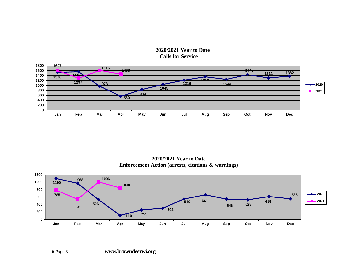



**2020/2021 Year to Date Enforcement Action (arrests, citations & warnings)**

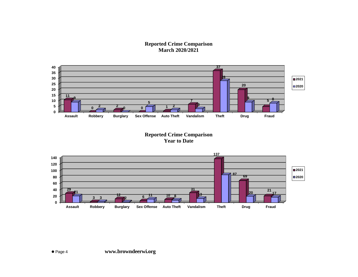**Reported Crime Comparison March 2020/2021**



**Reported Crime Comparison Year to Date**

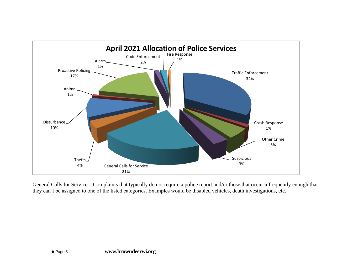

General Calls for Service – Complaints that typically do not require a police report and/or those that occur infrequently enough that they can't be assigned to one of the listed categories. Examples would be disabled vehicles, death investigations, etc.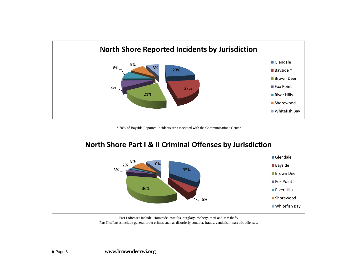

\* 70% of Bayside Reported Incidents are associated with the Communications Center



Part I offenses include: Homicide, assaults, burglary, robbery, theft and MV theft. Part II offenses include general order crimes such as disorderly conduct, frauds, vandalism, narcotic offenses.